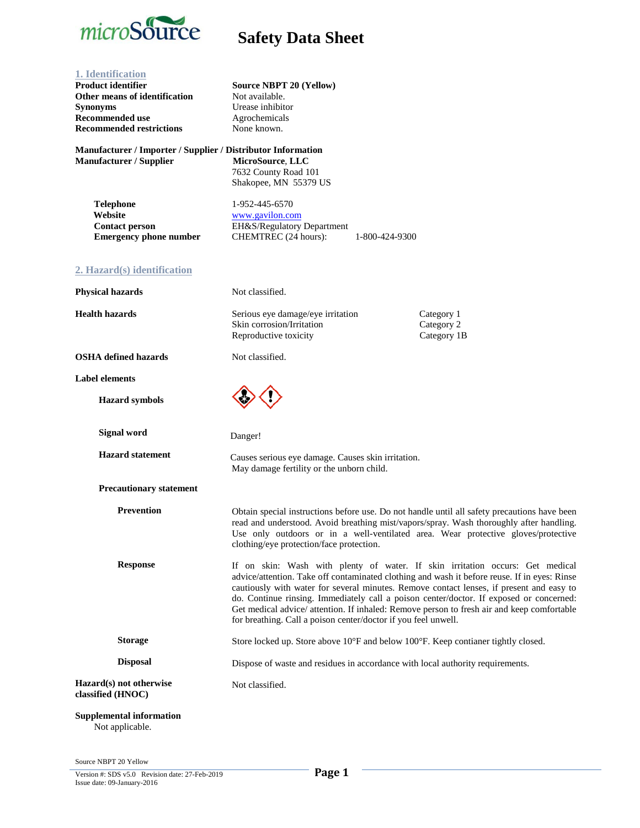

| 1. Identification<br><b>Product identifier</b><br>Other means of identification<br><b>Synonyms</b><br><b>Recommended use</b><br><b>Recommended restrictions</b> | <b>Source NBPT 20 (Yellow)</b><br>Not available.<br>Urease inhibitor<br>Agrochemicals<br>None known.                                                                                                                                                                                                                                                                                                                                                                                                                                 |                                         |
|-----------------------------------------------------------------------------------------------------------------------------------------------------------------|--------------------------------------------------------------------------------------------------------------------------------------------------------------------------------------------------------------------------------------------------------------------------------------------------------------------------------------------------------------------------------------------------------------------------------------------------------------------------------------------------------------------------------------|-----------------------------------------|
| Manufacturer / Importer / Supplier / Distributor Information<br>Manufacturer / Supplier                                                                         | MicroSource, LLC<br>7632 County Road 101<br>Shakopee, MN 55379 US                                                                                                                                                                                                                                                                                                                                                                                                                                                                    |                                         |
| <b>Telephone</b><br>Website<br><b>Contact person</b><br><b>Emergency phone number</b>                                                                           | 1-952-445-6570<br>www.gavilon.com<br>EH&S/Regulatory Department<br>CHEMTREC (24 hours):<br>1-800-424-9300                                                                                                                                                                                                                                                                                                                                                                                                                            |                                         |
| 2. Hazard(s) identification                                                                                                                                     |                                                                                                                                                                                                                                                                                                                                                                                                                                                                                                                                      |                                         |
| <b>Physical hazards</b>                                                                                                                                         | Not classified.                                                                                                                                                                                                                                                                                                                                                                                                                                                                                                                      |                                         |
| <b>Health hazards</b>                                                                                                                                           | Serious eye damage/eye irritation<br>Skin corrosion/Irritation<br>Reproductive toxicity                                                                                                                                                                                                                                                                                                                                                                                                                                              | Category 1<br>Category 2<br>Category 1B |
| <b>OSHA</b> defined hazards                                                                                                                                     | Not classified.                                                                                                                                                                                                                                                                                                                                                                                                                                                                                                                      |                                         |
| <b>Label elements</b>                                                                                                                                           |                                                                                                                                                                                                                                                                                                                                                                                                                                                                                                                                      |                                         |
| <b>Hazard</b> symbols                                                                                                                                           |                                                                                                                                                                                                                                                                                                                                                                                                                                                                                                                                      |                                         |
| <b>Signal word</b>                                                                                                                                              | Danger!                                                                                                                                                                                                                                                                                                                                                                                                                                                                                                                              |                                         |
| <b>Hazard</b> statement                                                                                                                                         | Causes serious eye damage. Causes skin irritation.<br>May damage fertility or the unborn child.                                                                                                                                                                                                                                                                                                                                                                                                                                      |                                         |
| <b>Precautionary statement</b>                                                                                                                                  |                                                                                                                                                                                                                                                                                                                                                                                                                                                                                                                                      |                                         |
| <b>Prevention</b>                                                                                                                                               | Obtain special instructions before use. Do not handle until all safety precautions have been<br>read and understood. Avoid breathing mist/vapors/spray. Wash thoroughly after handling.<br>Use only outdoors or in a well-ventilated area. Wear protective gloves/protective<br>clothing/eye protection/face protection.                                                                                                                                                                                                             |                                         |
| <b>Response</b>                                                                                                                                                 | If on skin: Wash with plenty of water. If skin irritation occurs: Get medical<br>advice/attention. Take off contaminated clothing and wash it before reuse. If in eyes: Rinse<br>cautiously with water for several minutes. Remove contact lenses, if present and easy to<br>do. Continue rinsing. Immediately call a poison center/doctor. If exposed or concerned:<br>Get medical advice/ attention. If inhaled: Remove person to fresh air and keep comfortable<br>for breathing. Call a poison center/doctor if you feel unwell. |                                         |
| <b>Storage</b>                                                                                                                                                  | Store locked up. Store above 10°F and below 100°F. Keep contianer tightly closed.                                                                                                                                                                                                                                                                                                                                                                                                                                                    |                                         |
| <b>Disposal</b>                                                                                                                                                 | Dispose of waste and residues in accordance with local authority requirements.                                                                                                                                                                                                                                                                                                                                                                                                                                                       |                                         |
| Hazard(s) not otherwise<br>classified (HNOC)                                                                                                                    | Not classified.                                                                                                                                                                                                                                                                                                                                                                                                                                                                                                                      |                                         |
| <b>Supplemental information</b><br>Not applicable.                                                                                                              |                                                                                                                                                                                                                                                                                                                                                                                                                                                                                                                                      |                                         |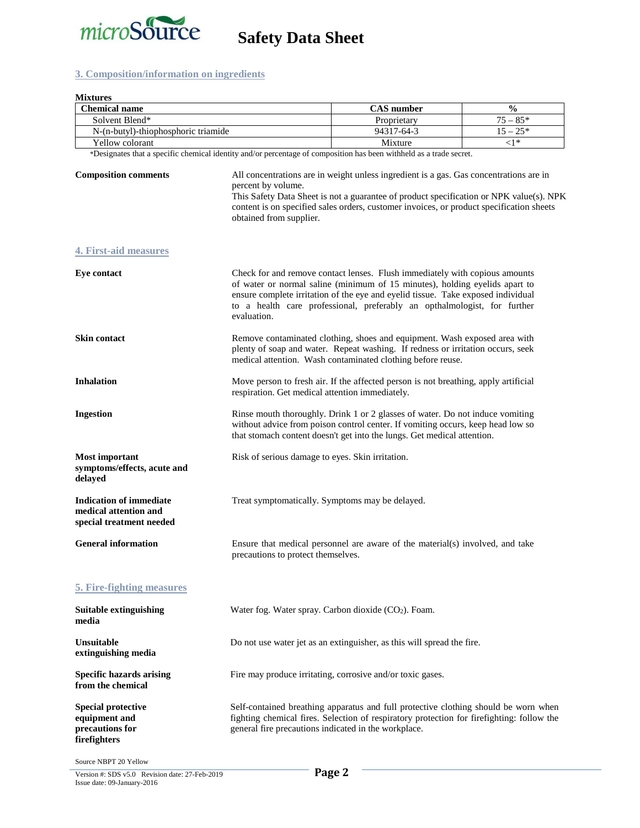

### **3. Composition/information on ingredients**

| <b>Mixtures</b><br><b>Chemical name</b><br>Solvent Blend*                           |                                                                                                                                                                                                                                                                                                                                           | <b>CAS</b> number                                                                                                                                                                | $\frac{0}{0}$ |
|-------------------------------------------------------------------------------------|-------------------------------------------------------------------------------------------------------------------------------------------------------------------------------------------------------------------------------------------------------------------------------------------------------------------------------------------|----------------------------------------------------------------------------------------------------------------------------------------------------------------------------------|---------------|
|                                                                                     |                                                                                                                                                                                                                                                                                                                                           | Proprietary                                                                                                                                                                      | $75 - 85*$    |
| N-(n-butyl)-thiophosphoric triamide                                                 |                                                                                                                                                                                                                                                                                                                                           | 94317-64-3                                                                                                                                                                       | $15 - 25*$    |
| Yellow colorant                                                                     |                                                                                                                                                                                                                                                                                                                                           | Mixture                                                                                                                                                                          | $\leq1*$      |
|                                                                                     |                                                                                                                                                                                                                                                                                                                                           | *Designates that a specific chemical identity and/or percentage of composition has been withheld as a trade secret.                                                              |               |
| <b>Composition comments</b>                                                         | All concentrations are in weight unless ingredient is a gas. Gas concentrations are in<br>percent by volume.<br>This Safety Data Sheet is not a guarantee of product specification or NPK value(s). NPK<br>content is on specified sales orders, customer invoices, or product specification sheets<br>obtained from supplier.            |                                                                                                                                                                                  |               |
| <b>4. First-aid measures</b>                                                        |                                                                                                                                                                                                                                                                                                                                           |                                                                                                                                                                                  |               |
| <b>Eye contact</b>                                                                  | Check for and remove contact lenses. Flush immediately with copious amounts<br>of water or normal saline (minimum of 15 minutes), holding eyelids apart to<br>ensure complete irritation of the eye and eyelid tissue. Take exposed individual<br>to a health care professional, preferably an opthalmologist, for further<br>evaluation. |                                                                                                                                                                                  |               |
| <b>Skin contact</b>                                                                 | Remove contaminated clothing, shoes and equipment. Wash exposed area with<br>plenty of soap and water. Repeat washing. If redness or irritation occurs, seek<br>medical attention. Wash contaminated clothing before reuse.                                                                                                               |                                                                                                                                                                                  |               |
| <b>Inhalation</b>                                                                   |                                                                                                                                                                                                                                                                                                                                           | Move person to fresh air. If the affected person is not breathing, apply artificial<br>respiration. Get medical attention immediately.                                           |               |
| <b>Ingestion</b>                                                                    | Rinse mouth thoroughly. Drink 1 or 2 glasses of water. Do not induce vomiting<br>without advice from poison control center. If vomiting occurs, keep head low so<br>that stomach content doesn't get into the lungs. Get medical attention.                                                                                               |                                                                                                                                                                                  |               |
| <b>Most important</b><br>symptoms/effects, acute and<br>delayed                     | Risk of serious damage to eyes. Skin irritation.                                                                                                                                                                                                                                                                                          |                                                                                                                                                                                  |               |
| <b>Indication of immediate</b><br>medical attention and<br>special treatment needed |                                                                                                                                                                                                                                                                                                                                           | Treat symptomatically. Symptoms may be delayed.                                                                                                                                  |               |
| <b>General information</b>                                                          | precautions to protect themselves.                                                                                                                                                                                                                                                                                                        | Ensure that medical personnel are aware of the material(s) involved, and take                                                                                                    |               |
| 5. Fire-fighting measures                                                           |                                                                                                                                                                                                                                                                                                                                           |                                                                                                                                                                                  |               |
| <b>Suitable extinguishing</b><br>media                                              |                                                                                                                                                                                                                                                                                                                                           | Water fog. Water spray. Carbon dioxide (CO2). Foam.                                                                                                                              |               |
| <b>Unsuitable</b><br>extinguishing media                                            |                                                                                                                                                                                                                                                                                                                                           | Do not use water jet as an extinguisher, as this will spread the fire.                                                                                                           |               |
| <b>Specific hazards arising</b><br>from the chemical                                |                                                                                                                                                                                                                                                                                                                                           | Fire may produce irritating, corrosive and/or toxic gases.                                                                                                                       |               |
| <b>Special protective</b><br>equipment and<br>precautions for<br>firefighters       | general fire precautions indicated in the workplace.                                                                                                                                                                                                                                                                                      | Self-contained breathing apparatus and full protective clothing should be worn when<br>fighting chemical fires. Selection of respiratory protection for firefighting: follow the |               |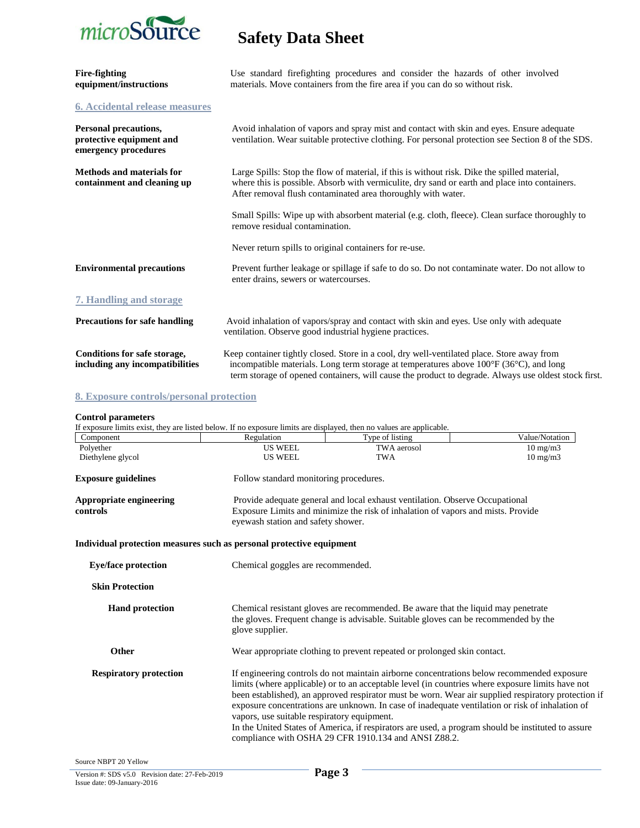

| Fire-fighting<br>equipment/instructions                                   | Use standard firefighting procedures and consider the hazards of other involved<br>materials. Move containers from the fire area if you can do so without risk.                                                                                                                                              |
|---------------------------------------------------------------------------|--------------------------------------------------------------------------------------------------------------------------------------------------------------------------------------------------------------------------------------------------------------------------------------------------------------|
| <b>6. Accidental release measures</b>                                     |                                                                                                                                                                                                                                                                                                              |
| Personal precautions,<br>protective equipment and<br>emergency procedures | Avoid inhalation of vapors and spray mist and contact with skin and eyes. Ensure adequate<br>ventilation. Wear suitable protective clothing. For personal protection see Section 8 of the SDS.                                                                                                               |
| <b>Methods and materials for</b><br>containment and cleaning up           | Large Spills: Stop the flow of material, if this is without risk. Dike the spilled material,<br>where this is possible. Absorb with vermiculite, dry sand or earth and place into containers.<br>After removal flush contaminated area thoroughly with water.                                                |
|                                                                           | Small Spills: Wipe up with absorbent material (e.g. cloth, fleece). Clean surface thoroughly to<br>remove residual contamination.                                                                                                                                                                            |
|                                                                           | Never return spills to original containers for re-use.                                                                                                                                                                                                                                                       |
| <b>Environmental precautions</b>                                          | Prevent further leakage or spillage if safe to do so. Do not contaminate water. Do not allow to<br>enter drains, sewers or watercourses.                                                                                                                                                                     |
| <b>7. Handling and storage</b>                                            |                                                                                                                                                                                                                                                                                                              |
| <b>Precautions for safe handling</b>                                      | Avoid inhalation of vapors/spray and contact with skin and eyes. Use only with adequate<br>ventilation. Observe good industrial hygiene practices.                                                                                                                                                           |
| Conditions for safe storage,<br>including any incompatibilities           | Keep container tightly closed. Store in a cool, dry well-ventilated place. Store away from<br>incompatible materials. Long term storage at temperatures above $100^{\circ}F(36^{\circ}C)$ , and long<br>term storage of opened containers, will cause the product to degrade. Always use oldest stock first. |

### **8. Exposure controls/personal protection**

### **Control parameters**

| If exposure limits exist, they are listed below. If no exposure limits are displayed, then no values are applicable. |                                                                                                                                                                                                                                                                                                                                                                                                                                                                                                                                                                                                                       |                 |                   |
|----------------------------------------------------------------------------------------------------------------------|-----------------------------------------------------------------------------------------------------------------------------------------------------------------------------------------------------------------------------------------------------------------------------------------------------------------------------------------------------------------------------------------------------------------------------------------------------------------------------------------------------------------------------------------------------------------------------------------------------------------------|-----------------|-------------------|
| Component                                                                                                            | Regulation                                                                                                                                                                                                                                                                                                                                                                                                                                                                                                                                                                                                            | Type of listing | Value/Notation    |
| Polyether                                                                                                            | <b>US WEEL</b>                                                                                                                                                                                                                                                                                                                                                                                                                                                                                                                                                                                                        | TWA aerosol     | $10 \text{ mg/m}$ |
| Diethylene glycol                                                                                                    | <b>US WEEL</b>                                                                                                                                                                                                                                                                                                                                                                                                                                                                                                                                                                                                        | <b>TWA</b>      | $10 \text{ mg/m}$ |
| <b>Exposure guidelines</b>                                                                                           | Follow standard monitoring procedures.                                                                                                                                                                                                                                                                                                                                                                                                                                                                                                                                                                                |                 |                   |
| <b>Appropriate engineering</b><br>controls                                                                           | Provide adequate general and local exhaust ventilation. Observe Occupational<br>Exposure Limits and minimize the risk of inhalation of vapors and mists. Provide<br>eyewash station and safety shower.                                                                                                                                                                                                                                                                                                                                                                                                                |                 |                   |
| Individual protection measures such as personal protective equipment                                                 |                                                                                                                                                                                                                                                                                                                                                                                                                                                                                                                                                                                                                       |                 |                   |
| <b>Eye/face protection</b>                                                                                           | Chemical goggles are recommended.                                                                                                                                                                                                                                                                                                                                                                                                                                                                                                                                                                                     |                 |                   |
| <b>Skin Protection</b>                                                                                               |                                                                                                                                                                                                                                                                                                                                                                                                                                                                                                                                                                                                                       |                 |                   |
| <b>Hand protection</b>                                                                                               | Chemical resistant gloves are recommended. Be aware that the liquid may penetrate<br>the gloves. Frequent change is advisable. Suitable gloves can be recommended by the<br>glove supplier.                                                                                                                                                                                                                                                                                                                                                                                                                           |                 |                   |
| Other                                                                                                                | Wear appropriate clothing to prevent repeated or prolonged skin contact.                                                                                                                                                                                                                                                                                                                                                                                                                                                                                                                                              |                 |                   |
| <b>Respiratory protection</b>                                                                                        | If engineering controls do not maintain airborne concentrations below recommended exposure<br>limits (where applicable) or to an acceptable level (in countries where exposure limits have not<br>been established), an approved respirator must be worn. Wear air supplied respiratory protection if<br>exposure concentrations are unknown. In case of inadequate ventilation or risk of inhalation of<br>vapors, use suitable respiratory equipment.<br>In the United States of America, if respirators are used, a program should be instituted to assure<br>compliance with OSHA 29 CFR 1910.134 and ANSI Z88.2. |                 |                   |
| Source NBPT 20 Yellow                                                                                                |                                                                                                                                                                                                                                                                                                                                                                                                                                                                                                                                                                                                                       |                 |                   |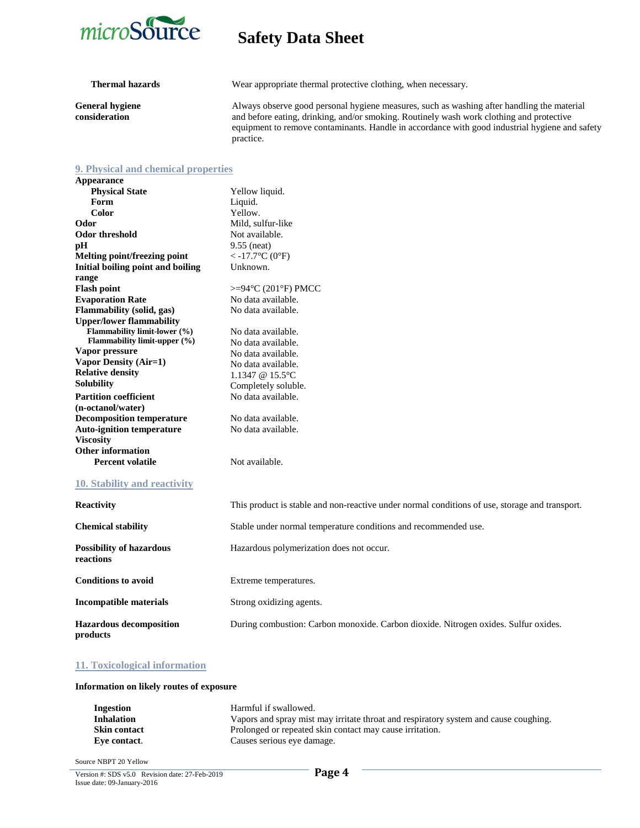

**General hygiene consideration**

**Thermal hazards** Wear appropriate thermal protective clothing, when necessary.

Always observe good personal hygiene measures, such as washing after handling the material and before eating, drinking, and/or smoking. Routinely wash work clothing and protective equipment to remove contaminants. Handle in accordance with good industrial hygiene and safety practice.

### **9. Physical and chemical properties**

**Appearance Physical State Form Color Odor Odor threshold pH Melting point/freezing point** Yellow liquid. Liquid. Yellow. Mild, sulfur-like Not available. 9.55 (neat)  $<$  -17.7 $\rm{^{\circ}C}$  (0 $\rm{^{\circ}F}$ ) **Initial boiling point and boiling range Flash point** Unknown. >=94°C (201°F) PMCC **Evaporation Rate** No data available. **Flammability (solid, gas) Upper/lower flammability Flammability limit-lower (%) Flammability limit-upper (%) Vapor pressure Vapor Density (Air=1) Relative density Solubility** No data available. No data available. No data available. No data available. No data available. 1.1347 @ 15.5°C Completely soluble. **Partition coefficient (n-octanol/water) Decomposition temperature Auto-ignition temperature Viscosity Other information Percent volatile** No data available. No data available. No data available. Not available.

### **10. Stability and reactivity**

| <b>Reactivity</b>                            | This product is stable and non-reactive under normal conditions of use, storage and transport. |
|----------------------------------------------|------------------------------------------------------------------------------------------------|
| <b>Chemical stability</b>                    | Stable under normal temperature conditions and recommended use.                                |
| <b>Possibility of hazardous</b><br>reactions | Hazardous polymerization does not occur.                                                       |
| <b>Conditions to avoid</b>                   | Extreme temperatures.                                                                          |
| Incompatible materials                       | Strong oxidizing agents.                                                                       |
| <b>Hazardous decomposition</b><br>products   | During combustion: Carbon monoxide. Carbon dioxide. Nitrogen oxides. Sulfur oxides.            |

### **11. Toxicological information**

### **Information on likely routes of exposure**

| Ingestion           | Harmful if swallowed.                                                                |
|---------------------|--------------------------------------------------------------------------------------|
| <b>Inhalation</b>   | Vapors and spray mist may irritate throat and respiratory system and cause coughing. |
| <b>Skin contact</b> | Prolonged or repeated skin contact may cause irritation.                             |
| Eve contact.        | Causes serious eye damage.                                                           |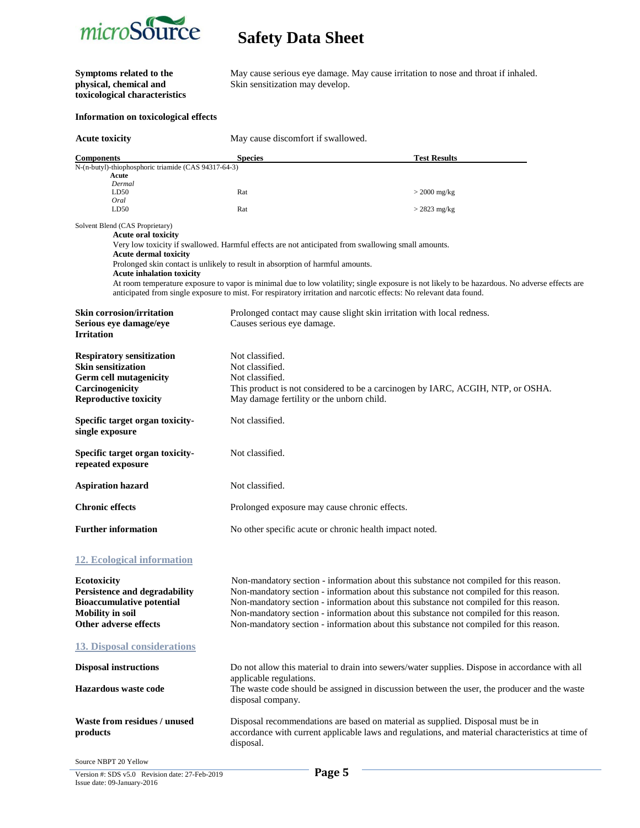

# **toxicological characteristics**

**Symptoms related to the** May cause serious eye damage. May cause irritation to nose and throat if inhaled.<br> **Physical, chemical and** Skin sensitization may develop. Skin sensitization may develop.

### **Information on toxicological effects**

| <b>Acute toxicity</b>                                                                                                                              | May cause discomfort if swallowed.                                                                 |                                                                                                                                                                                                                                                                                                                                                                                                                                                                |
|----------------------------------------------------------------------------------------------------------------------------------------------------|----------------------------------------------------------------------------------------------------|----------------------------------------------------------------------------------------------------------------------------------------------------------------------------------------------------------------------------------------------------------------------------------------------------------------------------------------------------------------------------------------------------------------------------------------------------------------|
| <b>Components</b>                                                                                                                                  | <b>Species</b>                                                                                     | <b>Test Results</b>                                                                                                                                                                                                                                                                                                                                                                                                                                            |
| N-(n-butyl)-thiophosphoric triamide (CAS 94317-64-3)                                                                                               |                                                                                                    |                                                                                                                                                                                                                                                                                                                                                                                                                                                                |
| Acute<br>Dermal                                                                                                                                    |                                                                                                    |                                                                                                                                                                                                                                                                                                                                                                                                                                                                |
| LD50                                                                                                                                               | Rat                                                                                                | $>$ 2000 mg/kg                                                                                                                                                                                                                                                                                                                                                                                                                                                 |
| Oral<br>LD50                                                                                                                                       | Rat                                                                                                | $>$ 2823 mg/kg                                                                                                                                                                                                                                                                                                                                                                                                                                                 |
| Solvent Blend (CAS Proprietary)                                                                                                                    |                                                                                                    |                                                                                                                                                                                                                                                                                                                                                                                                                                                                |
| <b>Acute oral toxicity</b>                                                                                                                         | Very low toxicity if swallowed. Harmful effects are not anticipated from swallowing small amounts. |                                                                                                                                                                                                                                                                                                                                                                                                                                                                |
| <b>Acute dermal toxicity</b><br><b>Acute inhalation toxicity</b>                                                                                   | Prolonged skin contact is unlikely to result in absorption of harmful amounts.                     |                                                                                                                                                                                                                                                                                                                                                                                                                                                                |
|                                                                                                                                                    |                                                                                                    | At room temperature exposure to vapor is minimal due to low volatility; single exposure is not likely to be hazardous. No adverse effects are<br>anticipated from single exposure to mist. For respiratory irritation and narcotic effects: No relevant data found.                                                                                                                                                                                            |
| <b>Skin corrosion/irritation</b>                                                                                                                   |                                                                                                    | Prolonged contact may cause slight skin irritation with local redness.                                                                                                                                                                                                                                                                                                                                                                                         |
| Serious eye damage/eye<br><b>Irritation</b>                                                                                                        | Causes serious eye damage.                                                                         |                                                                                                                                                                                                                                                                                                                                                                                                                                                                |
| <b>Respiratory sensitization</b>                                                                                                                   | Not classified.                                                                                    |                                                                                                                                                                                                                                                                                                                                                                                                                                                                |
| <b>Skin sensitization</b>                                                                                                                          | Not classified.                                                                                    |                                                                                                                                                                                                                                                                                                                                                                                                                                                                |
| <b>Germ cell mutagenicity</b>                                                                                                                      | Not classified.                                                                                    |                                                                                                                                                                                                                                                                                                                                                                                                                                                                |
| Carcinogenicity                                                                                                                                    |                                                                                                    | This product is not considered to be a carcinogen by IARC, ACGIH, NTP, or OSHA.                                                                                                                                                                                                                                                                                                                                                                                |
| <b>Reproductive toxicity</b>                                                                                                                       | May damage fertility or the unborn child.                                                          |                                                                                                                                                                                                                                                                                                                                                                                                                                                                |
| Specific target organ toxicity-<br>single exposure                                                                                                 | Not classified.                                                                                    |                                                                                                                                                                                                                                                                                                                                                                                                                                                                |
| Specific target organ toxicity-<br>repeated exposure                                                                                               | Not classified.                                                                                    |                                                                                                                                                                                                                                                                                                                                                                                                                                                                |
| <b>Aspiration hazard</b>                                                                                                                           | Not classified.                                                                                    |                                                                                                                                                                                                                                                                                                                                                                                                                                                                |
| <b>Chronic effects</b>                                                                                                                             | Prolonged exposure may cause chronic effects.                                                      |                                                                                                                                                                                                                                                                                                                                                                                                                                                                |
| <b>Further information</b>                                                                                                                         | No other specific acute or chronic health impact noted.                                            |                                                                                                                                                                                                                                                                                                                                                                                                                                                                |
| <b>12. Ecological information</b>                                                                                                                  |                                                                                                    |                                                                                                                                                                                                                                                                                                                                                                                                                                                                |
| <b>Ecotoxicity</b><br><b>Persistence and degradability</b><br><b>Bioaccumulative potential</b><br><b>Mobility</b> in soil<br>Other adverse effects |                                                                                                    | Non-mandatory section - information about this substance not compiled for this reason.<br>Non-mandatory section - information about this substance not compiled for this reason.<br>Non-mandatory section - information about this substance not compiled for this reason.<br>Non-mandatory section - information about this substance not compiled for this reason.<br>Non-mandatory section - information about this substance not compiled for this reason. |
| <b>13. Disposal considerations</b>                                                                                                                 |                                                                                                    |                                                                                                                                                                                                                                                                                                                                                                                                                                                                |
| <b>Disposal instructions</b>                                                                                                                       |                                                                                                    |                                                                                                                                                                                                                                                                                                                                                                                                                                                                |
|                                                                                                                                                    | applicable regulations.                                                                            | Do not allow this material to drain into sewers/water supplies. Dispose in accordance with all                                                                                                                                                                                                                                                                                                                                                                 |
| Hazardous waste code                                                                                                                               | disposal company.                                                                                  | The waste code should be assigned in discussion between the user, the producer and the waste                                                                                                                                                                                                                                                                                                                                                                   |
| Waste from residues / unused<br>products                                                                                                           | disposal.                                                                                          | Disposal recommendations are based on material as supplied. Disposal must be in<br>accordance with current applicable laws and regulations, and material characteristics at time of                                                                                                                                                                                                                                                                            |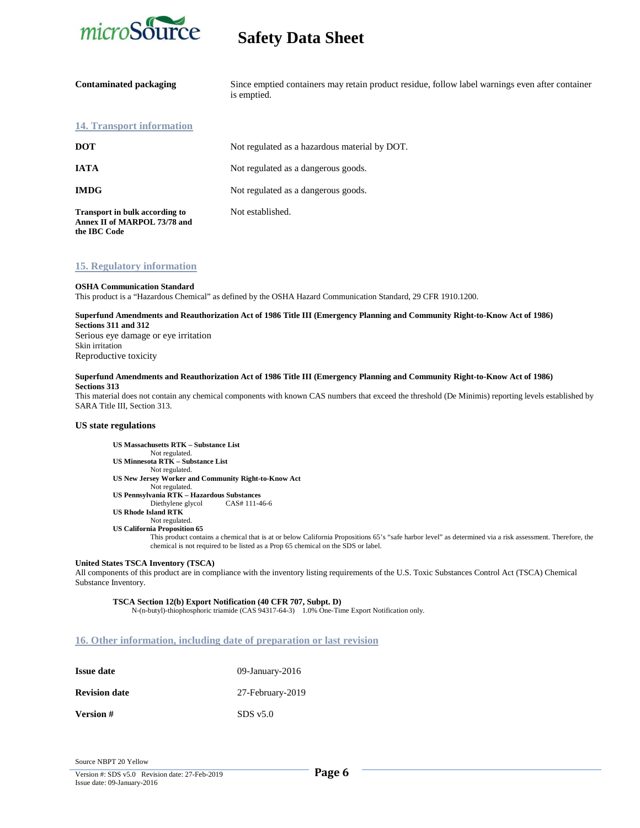

| <b>Contaminated packaging</b>                                                         | Since emptied containers may retain product residue, follow label warnings even after container<br>is emptied. |
|---------------------------------------------------------------------------------------|----------------------------------------------------------------------------------------------------------------|
| 14. Transport information                                                             |                                                                                                                |
| <b>DOT</b>                                                                            | Not regulated as a hazardous material by DOT.                                                                  |
| <b>IATA</b>                                                                           | Not regulated as a dangerous goods.                                                                            |
| <b>IMDG</b>                                                                           | Not regulated as a dangerous goods.                                                                            |
| <b>Transport in bulk according to</b><br>Annex II of MARPOL 73/78 and<br>the IBC Code | Not established.                                                                                               |

### **15. Regulatory information**

### **OSHA Communication Standard**

This product is a "Hazardous Chemical" as defined by the OSHA Hazard Communication Standard, 29 CFR 1910.1200.

### **Superfund Amendments and Reauthorization Act of 1986 Title III (Emergency Planning and Community Right-to-Know Act of 1986) Sections 311 and 312**

Serious eye damage or eye irritation Skin irritation Reproductive toxicity

### **Superfund Amendments and Reauthorization Act of 1986 Title III (Emergency Planning and Community Right-to-Know Act of 1986) Sections 313**

This material does not contain any chemical components with known CAS numbers that exceed the threshold (De Minimis) reporting levels established by SARA Title III, Section 313.

### **US state regulations**

**US Massachusetts RTK – Substance List** Not regulated. **US Minnesota RTK – Substance List** Not regulated. **US New Jersey Worker and Community Right-to-Know Act** Not regulated. **US Pennsylvania RTK – Hazardous Substances** Diethylene glycol **US Rhode Island RTK** Not regulated.  **US California Proposition 65**

This product contains a chemical that is at or below California Propositions 65's "safe harbor level" as determined via a risk assessment. Therefore, the chemical is not required to be listed as a Prop 65 chemical on the SDS or label.

### **United States TSCA Inventory (TSCA)**

All components of this product are in compliance with the inventory listing requirements of the U.S. Toxic Substances Control Act (TSCA) Chemical Substance Inventory.

**TSCA Section 12(b) Export Notification (40 CFR 707, Subpt. D)** N-(n-butyl)-thiophosphoric triamide (CAS 94317-64-3) 1.0% One-Time Export Notification only.

### **16. Other information, including date of preparation or last revision**

| <b>Issue date</b>    | 09-January-2016  |
|----------------------|------------------|
| <b>Revision date</b> | 27-February-2019 |
| Version #            | SDS v5.0         |